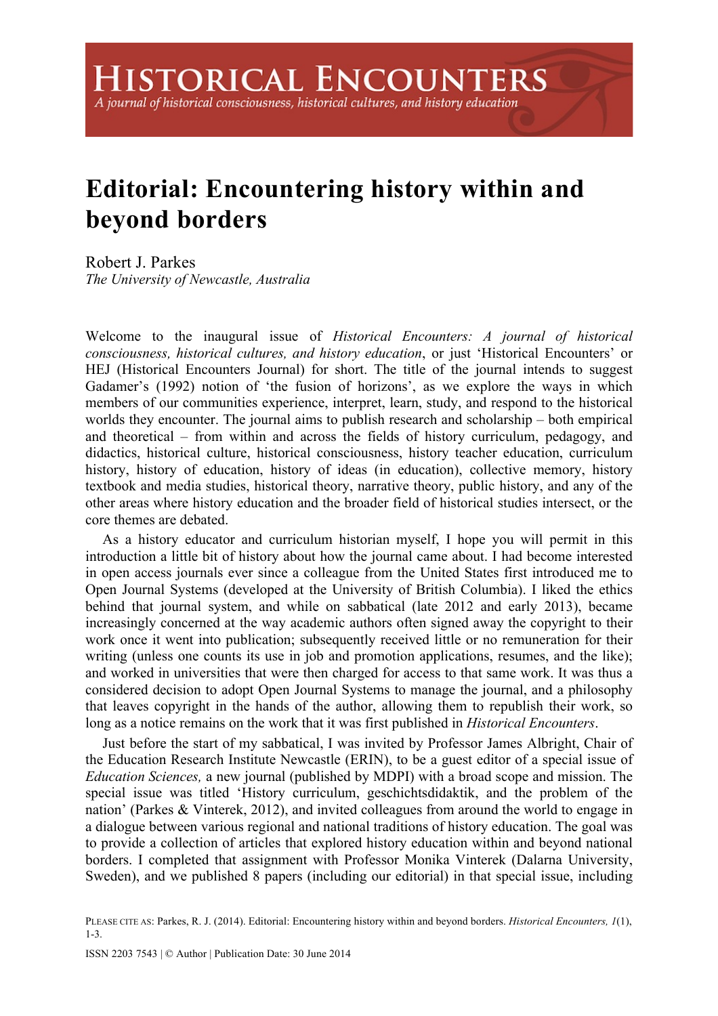## **Editorial: Encountering history within and beyond borders**

Robert J. Parkes *The University of Newcastle, Australia* 

Welcome to the inaugural issue of *Historical Encounters: A journal of historical consciousness, historical cultures, and history education*, or just 'Historical Encounters' or HEJ (Historical Encounters Journal) for short. The title of the journal intends to suggest Gadamer's (1992) notion of 'the fusion of horizons', as we explore the ways in which members of our communities experience, interpret, learn, study, and respond to the historical worlds they encounter. The journal aims to publish research and scholarship – both empirical and theoretical – from within and across the fields of history curriculum, pedagogy, and didactics, historical culture, historical consciousness, history teacher education, curriculum history, history of education, history of ideas (in education), collective memory, history textbook and media studies, historical theory, narrative theory, public history, and any of the other areas where history education and the broader field of historical studies intersect, or the core themes are debated.

As a history educator and curriculum historian myself, I hope you will permit in this introduction a little bit of history about how the journal came about. I had become interested in open access journals ever since a colleague from the United States first introduced me to Open Journal Systems (developed at the University of British Columbia). I liked the ethics behind that journal system, and while on sabbatical (late 2012 and early 2013), became increasingly concerned at the way academic authors often signed away the copyright to their work once it went into publication; subsequently received little or no remuneration for their writing (unless one counts its use in job and promotion applications, resumes, and the like); and worked in universities that were then charged for access to that same work. It was thus a considered decision to adopt Open Journal Systems to manage the journal, and a philosophy that leaves copyright in the hands of the author, allowing them to republish their work, so long as a notice remains on the work that it was first published in *Historical Encounters*.

Just before the start of my sabbatical, I was invited by Professor James Albright, Chair of the Education Research Institute Newcastle (ERIN), to be a guest editor of a special issue of *Education Sciences,* a new journal (published by MDPI) with a broad scope and mission. The special issue was titled 'History curriculum, geschichtsdidaktik, and the problem of the nation' (Parkes & Vinterek, 2012), and invited colleagues from around the world to engage in a dialogue between various regional and national traditions of history education. The goal was to provide a collection of articles that explored history education within and beyond national borders. I completed that assignment with Professor Monika Vinterek (Dalarna University, Sweden), and we published 8 papers (including our editorial) in that special issue, including

PLEASE CITE AS: Parkes, R. J. (2014). Editorial: Encountering history within and beyond borders. *Historical Encounters, 1*(1), 1-3.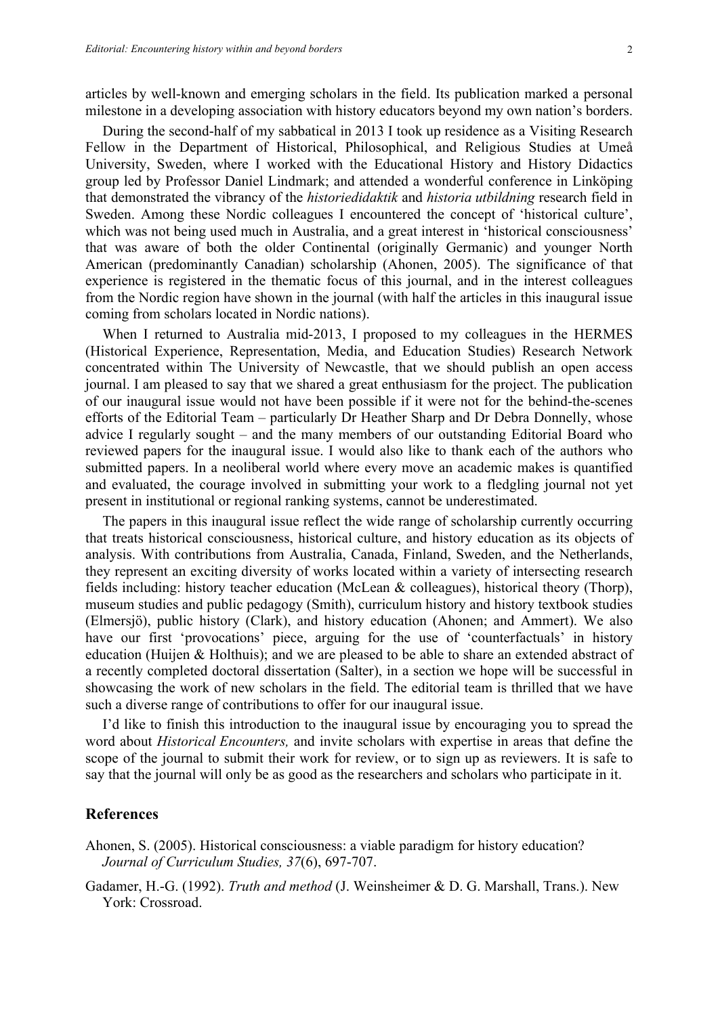articles by well-known and emerging scholars in the field. Its publication marked a personal milestone in a developing association with history educators beyond my own nation's borders.

During the second-half of my sabbatical in 2013 I took up residence as a Visiting Research Fellow in the Department of Historical, Philosophical, and Religious Studies at Umeå University, Sweden, where I worked with the Educational History and History Didactics group led by Professor Daniel Lindmark; and attended a wonderful conference in Linköping that demonstrated the vibrancy of the *historiedidaktik* and *historia utbildning* research field in Sweden. Among these Nordic colleagues I encountered the concept of 'historical culture', which was not being used much in Australia, and a great interest in 'historical consciousness' that was aware of both the older Continental (originally Germanic) and younger North American (predominantly Canadian) scholarship (Ahonen, 2005). The significance of that experience is registered in the thematic focus of this journal, and in the interest colleagues from the Nordic region have shown in the journal (with half the articles in this inaugural issue coming from scholars located in Nordic nations).

When I returned to Australia mid-2013, I proposed to my colleagues in the HERMES (Historical Experience, Representation, Media, and Education Studies) Research Network concentrated within The University of Newcastle, that we should publish an open access journal. I am pleased to say that we shared a great enthusiasm for the project. The publication of our inaugural issue would not have been possible if it were not for the behind-the-scenes efforts of the Editorial Team – particularly Dr Heather Sharp and Dr Debra Donnelly, whose advice I regularly sought – and the many members of our outstanding Editorial Board who reviewed papers for the inaugural issue. I would also like to thank each of the authors who submitted papers. In a neoliberal world where every move an academic makes is quantified and evaluated, the courage involved in submitting your work to a fledgling journal not yet present in institutional or regional ranking systems, cannot be underestimated.

The papers in this inaugural issue reflect the wide range of scholarship currently occurring that treats historical consciousness, historical culture, and history education as its objects of analysis. With contributions from Australia, Canada, Finland, Sweden, and the Netherlands, they represent an exciting diversity of works located within a variety of intersecting research fields including: history teacher education (McLean & colleagues), historical theory (Thorp), museum studies and public pedagogy (Smith), curriculum history and history textbook studies (Elmersjö), public history (Clark), and history education (Ahonen; and Ammert). We also have our first 'provocations' piece, arguing for the use of 'counterfactuals' in history education (Huijen & Holthuis); and we are pleased to be able to share an extended abstract of a recently completed doctoral dissertation (Salter), in a section we hope will be successful in showcasing the work of new scholars in the field. The editorial team is thrilled that we have such a diverse range of contributions to offer for our inaugural issue.

I'd like to finish this introduction to the inaugural issue by encouraging you to spread the word about *Historical Encounters,* and invite scholars with expertise in areas that define the scope of the journal to submit their work for review, or to sign up as reviewers. It is safe to say that the journal will only be as good as the researchers and scholars who participate in it.

## **References**

Ahonen, S. (2005). Historical consciousness: a viable paradigm for history education? *Journal of Curriculum Studies, 37*(6), 697-707.

Gadamer, H.-G. (1992). *Truth and method* (J. Weinsheimer & D. G. Marshall, Trans.). New York: Crossroad.